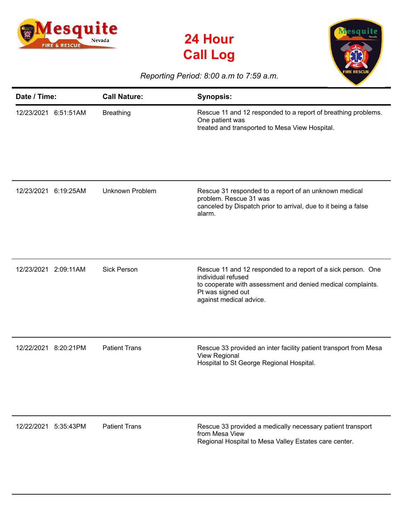





## *Reporting Period: 8:00 a.m to 7:59 a.m.*

| Date / Time:            | <b>Call Nature:</b>    | <b>Synopsis:</b>                                                                                                                                                                                  |
|-------------------------|------------------------|---------------------------------------------------------------------------------------------------------------------------------------------------------------------------------------------------|
| 12/23/2021 6:51:51AM    | <b>Breathing</b>       | Rescue 11 and 12 responded to a report of breathing problems.<br>One patient was<br>treated and transported to Mesa View Hospital.                                                                |
| 12/23/2021<br>6:19:25AM | <b>Unknown Problem</b> | Rescue 31 responded to a report of an unknown medical<br>problem. Rescue 31 was<br>canceled by Dispatch prior to arrival, due to it being a false<br>alarm.                                       |
| 12/23/2021<br>2:09:11AM | <b>Sick Person</b>     | Rescue 11 and 12 responded to a report of a sick person. One<br>individual refused<br>to cooperate with assessment and denied medical complaints.<br>Pt was signed out<br>against medical advice. |
| 12/22/2021<br>8:20:21PM | <b>Patient Trans</b>   | Rescue 33 provided an inter facility patient transport from Mesa<br>View Regional<br>Hospital to St George Regional Hospital.                                                                     |
| 12/22/2021<br>5:35:43PM | <b>Patient Trans</b>   | Rescue 33 provided a medically necessary patient transport<br>from Mesa View<br>Regional Hospital to Mesa Valley Estates care center.                                                             |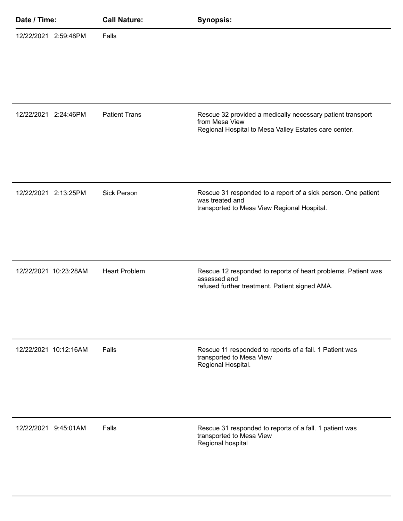| Date / Time: |                       | <b>Call Nature:</b>  | <b>Synopsis:</b>                                                                                                                      |
|--------------|-----------------------|----------------------|---------------------------------------------------------------------------------------------------------------------------------------|
|              | 12/22/2021 2:59:48PM  | Falls                |                                                                                                                                       |
|              | 12/22/2021 2:24:46PM  | <b>Patient Trans</b> | Rescue 32 provided a medically necessary patient transport<br>from Mesa View<br>Regional Hospital to Mesa Valley Estates care center. |
|              | 12/22/2021 2:13:25PM  | <b>Sick Person</b>   | Rescue 31 responded to a report of a sick person. One patient<br>was treated and<br>transported to Mesa View Regional Hospital.       |
|              | 12/22/2021 10:23:28AM | <b>Heart Problem</b> | Rescue 12 responded to reports of heart problems. Patient was<br>assessed and<br>refused further treatment. Patient signed AMA.       |
|              | 12/22/2021 10:12:16AM | Falls                | Rescue 11 responded to reports of a fall. 1 Patient was<br>transported to Mesa View<br>Regional Hospital.                             |
|              | 12/22/2021 9:45:01AM  | Falls                | Rescue 31 responded to reports of a fall. 1 patient was<br>transported to Mesa View<br>Regional hospital                              |